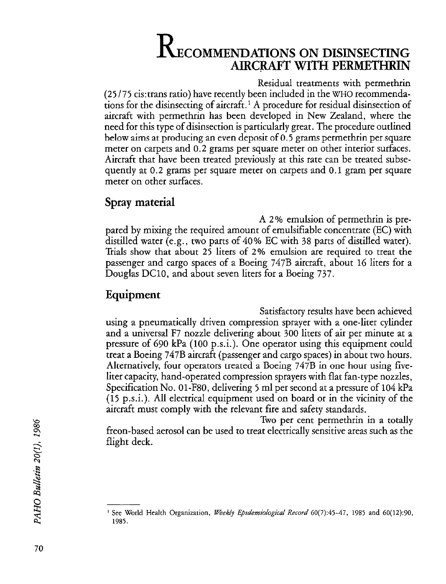# **RECOMMENDATIONS ON DISINSECTING** AIRCRAFT WITH PERMETHRIN

Residual treatments with permethrin (25 /75 cis:trans ratio) have recently been included in the WHO recommendations for the disinsecting of aircraft.' A procedure for residual disinsection of aircraft with permethrin has been developed in New Zealand, where the need for this type of disinsection is particularly great. The procedure outlined below aims at producing an even deposit of 0.5 grams permethrin per square meter on carpets and 0.2 grams per square meter on other interior surfaces. Aircraft that have been treated previously at this rate can be treated subsequently at 0.2 grams per square meter on carpets and 0.1 gram per square meter on other surfaces.

## Spray material

A 2 % emulsion of permethrin is prepared by mixing the required amount of emulsifiable concentrate (EC) with distilled water (e.g., two parts of 40% EC with 38 parts of distilled water). Trials show that about 25 liters of 2% emulsion are required to treat the passenger and cargo spaces of a Boeing 747B aircraft, about 16 liters for a Douglas DClO, and about seven liters for a Boeing 737.

## Equipment

Satisfactory results have been achieved using a pneumatically driven compression sprayer with a one-liter cylinder and a universal F7 nozzle delivering about 300 liters of air per minute at a pressure of 690 kPa (100 p.s.i.). One operator using this equipment could treat a Boeing 747B aircraft (passenger and cargo spaces) in about two hours. Alternatively, four operators treated a Boeing 747B in one hour using fiveliter capacity, hand-operated compression sprayers with flat fan-type nozzles, Specification No. Ol-F80, delivering 5 ml per second at a pressure of 104 kPa (15 p.s.i.). All electrical equipment used on board or in the vicinity of the aircraft must comply with the relevant fire and safety standards.

Two per cent permethrin in a totally freon-based aerosol can be used to treat electrically sensitive areas such as the flight deck.

<sup>&</sup>lt;sup>1</sup> See World Health Organization, *Weekly Epidemiological Record* 60(7):45-47, 1985 and 60(12):90, 1985.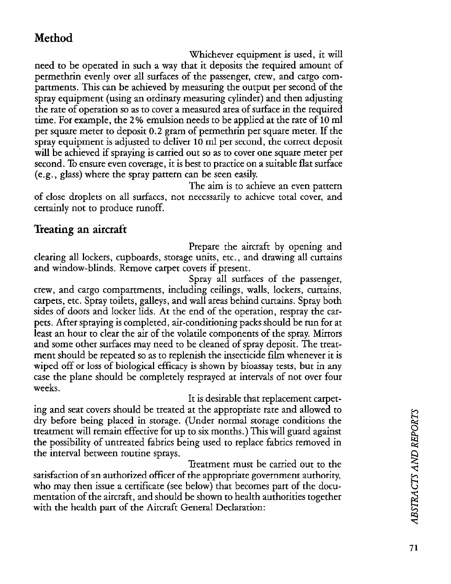## Method

Whichever equipment is used, it will need to be operated in such a way that it deposits the required amount of permethrin evenly over all surfaces of the passenger, crew, and cargo compartments. This can be achieved by measuring the output per second of the spray equipment (using an ordinary measuring cylinder) and then adjusting the rate of operation so as to cover a measured area of surface in the required time. For example, the 2 % emulsion needs to be applied at the rate of 10 ml per square meter to deposit 0.2 gram of permethrin per square meter. If the spray equipment is adjusted to deliver 10 ml per second, the correct deposit will be achieved if spraying is carried out so as to cover one square meter per second. To ensure even coverage, it is best to practice on a suitable flat surface (e.g., glass) where the spray pattern can be seen easily.

The aim is to achieve an even pattern of close droplets on all surfaces, not necessarily to achieve total cover, and certainly not to produce runoff.

## Treating an aircraft

Prepare the aircraft by opening and clearing all lockers, cupboards, storage units, etc., and drawing all curtains and window-blinds. Remove carpet covers if present.

Spray all surfaces of the passenger, crew, and cargo compartments, including ceilings, walls, lockers, curtains, carpets, etc. Spray toilets, galleys, and wall areas behind curtains. Spray both sides of doors and locker lids. At the end of the operation, respray the carpets. After spraying is completed, air-conditioning packs should be run for at least an hour to clear the air of the volatile components of the spray. Mirrors and some other surfaces may need to be cleaned of spray deposit. The treatment should be repeated so as to replenish the insecticide film whenever it is wiped off or loss of biological efficacy is shown by bioassay tests, but in any case the plane should be completely resprayed at intervals of not over four weeks.

It is desirable that replacement carpeting and seat covers should be treated at the appropriate rate and allowed to dry before being placed in storage. (Under normal storage conditions the treatment will remain effective for up to six months.) This will guard against the possibility of untreated fabrics being used to replace fabrics removed in the interval between routine sprays.

Treatment must be carried out to the satisfaction of an authorized offrcer of the appropriate government authority, who may then issue a certificate (see below) that becomes part of the documentation of the aircraft, and should be shown to health authorities together with the health part of the Aircraft General Declaration: